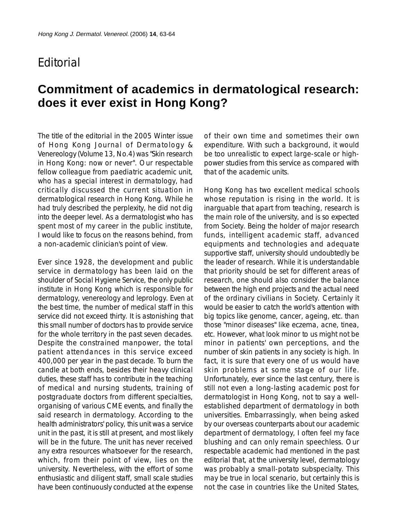## **F**ditorial

## **Commitment of academics in dermatological research: does it ever exist in Hong Kong?**

The title of the editorial in the 2005 Winter issue of Hong Kong Journal of Dermatology & Venereology (Volume 13, No.4) was "Skin research in Hong Kong: now or never". Our respectable fellow colleague from paediatric academic unit, who has a special interest in dermatology, had critically discussed the current situation in dermatological research in Hong Kong. While he had truly described the perplexity, he did not dig into the deeper level. As a dermatologist who has spent most of my career in the public institute, I would like to focus on the reasons behind, from a non-academic clinician's point of view.

Ever since 1928, the development and public service in dermatology has been laid on the shoulder of Social Hygiene Service, the only public institute in Hong Kong which is responsible for dermatology, venereology and leprology. Even at the best time, the number of medical staff in this service did not exceed thirty. It is astonishing that this small number of doctors has to provide service for the whole territory in the past seven decades. Despite the constrained manpower, the total patient attendances in this service exceed 400,000 per year in the past decade. To burn the candle at both ends, besides their heavy clinical duties, these staff has to contribute in the teaching of medical and nursing students, training of postgraduate doctors from different specialties, organising of various CME events, and finally the said research in dermatology. According to the health administrators' policy, this unit was a service unit in the past, it is still at present, and most likely will be in the future. The unit has never received any extra resources whatsoever for the research, which, from their point of view, lies on the university. Nevertheless, with the effort of some enthusiastic and diligent staff, small scale studies have been continuously conducted at the expense

of their own time and sometimes their own expenditure. With such a background, it would be too unrealistic to expect large-scale or highpower studies from this service as compared with that of the academic units.

Hong Kong has two excellent medical schools whose reputation is rising in the world. It is inarguable that apart from teaching, research is the main role of the university, and is so expected from Society. Being the holder of major research funds, intelligent academic staff, advanced equipments and technologies and adequate supportive staff, university should undoubtedly be the leader of research. While it is understandable that priority should be set for different areas of research, one should also consider the balance between the high end projects and the actual need of the ordinary civilians in Society. Certainly it would be easier to catch the world's attention with big topics like genome, cancer, ageing, etc. than those "minor diseases" like eczema, acne, tinea, etc. However, what look minor to us might not be minor in patients' own perceptions, and the number of skin patients in any society is high. In fact, it is sure that every one of us would have skin problems at some stage of our life. Unfortunately, ever since the last century, there is still not even a long-lasting academic post for dermatologist in Hong Kong, not to say a wellestablished department of dermatology in both universities. Embarrassingly, when being asked by our overseas counterparts about our academic department of dermatology, I often feel my face blushing and can only remain speechless. Our respectable academic had mentioned in the past editorial that, at the university level, dermatology was probably a small-potato subspecialty. This may be true in local scenario, but certainly this is not the case in countries like the United States,